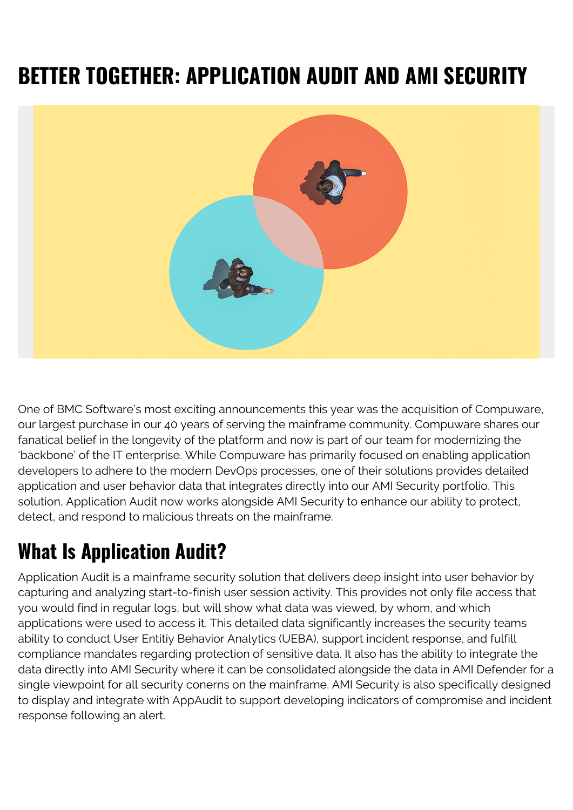# **BETTER TOGETHER: APPLICATION AUDIT AND AMI SECURITY**



One of BMC Software's most exciting announcements this year was the acquisition of Compuware, our largest purchase in our 40 years of serving the mainframe community. Compuware shares our fanatical belief in the longevity of the platform and now is part of our team for modernizing the 'backbone' of the IT enterprise. While Compuware has primarily focused on enabling application developers to adhere to the modern DevOps processes, one of their solutions provides detailed application and user behavior data that integrates directly into our AMI Security portfolio. This solution, Application Audit now works alongside AMI Security to enhance our ability to protect, detect, and respond to malicious threats on the mainframe.

## **What Is Application Audit?**

Application Audit is a mainframe security solution that delivers deep insight into user behavior by capturing and analyzing start-to-finish user session activity. This provides not only file access that you would find in regular logs, but will show what data was viewed, by whom, and which applications were used to access it. This detailed data significantly increases the security teams ability to conduct User Entitiy Behavior Analytics (UEBA), support incident response, and fulfill compliance mandates regarding protection of sensitive data. It also has the ability to integrate the data directly into AMI Security where it can be consolidated alongside the data in AMI Defender for a single viewpoint for all security conerns on the mainframe. AMI Security is also specifically designed to display and integrate with AppAudit to support developing indicators of compromise and incident response following an alert.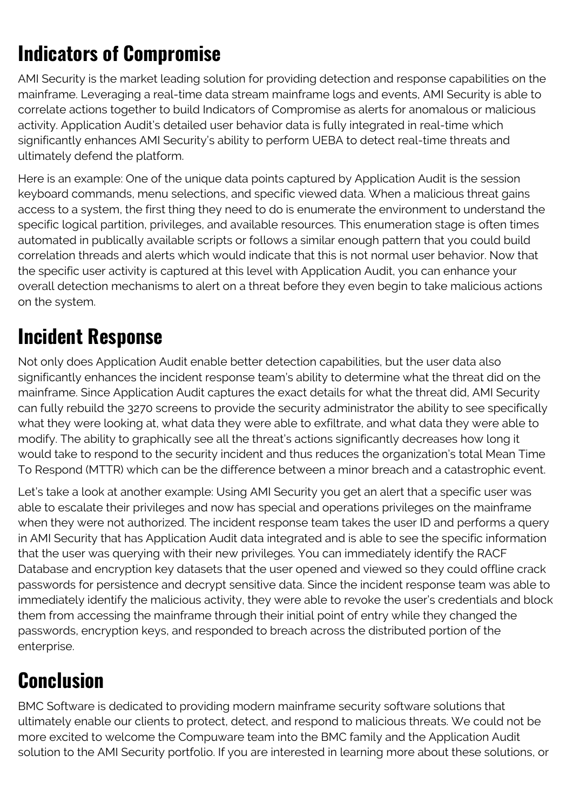## **Indicators of Compromise**

AMI Security is the market leading solution for providing detection and response capabilities on the mainframe. Leveraging a real-time data stream mainframe logs and events, AMI Security is able to correlate actions together to build Indicators of Compromise as alerts for anomalous or malicious activity. Application Audit's detailed user behavior data is fully integrated in real-time which significantly enhances AMI Security's ability to perform UEBA to detect real-time threats and ultimately defend the platform.

Here is an example: One of the unique data points captured by Application Audit is the session keyboard commands, menu selections, and specific viewed data. When a malicious threat gains access to a system, the first thing they need to do is enumerate the environment to understand the specific logical partition, privileges, and available resources. This enumeration stage is often times automated in publically available scripts or follows a similar enough pattern that you could build correlation threads and alerts which would indicate that this is not normal user behavior. Now that the specific user activity is captured at this level with Application Audit, you can enhance your overall detection mechanisms to alert on a threat before they even begin to take malicious actions on the system.

### **Incident Response**

Not only does Application Audit enable better detection capabilities, but the user data also significantly enhances the incident response team's ability to determine what the threat did on the mainframe. Since Application Audit captures the exact details for what the threat did, AMI Security can fully rebuild the 3270 screens to provide the security administrator the ability to see specifically what they were looking at, what data they were able to exfiltrate, and what data they were able to modify. The ability to graphically see all the threat's actions significantly decreases how long it would take to respond to the security incident and thus reduces the organization's total Mean Time To Respond (MTTR) which can be the difference between a minor breach and a catastrophic event.

Let's take a look at another example: Using AMI Security you get an alert that a specific user was able to escalate their privileges and now has special and operations privileges on the mainframe when they were not authorized. The incident response team takes the user ID and performs a query in AMI Security that has Application Audit data integrated and is able to see the specific information that the user was querying with their new privileges. You can immediately identify the RACF Database and encryption key datasets that the user opened and viewed so they could offline crack passwords for persistence and decrypt sensitive data. Since the incident response team was able to immediately identify the malicious activity, they were able to revoke the user's credentials and block them from accessing the mainframe through their initial point of entry while they changed the passwords, encryption keys, and responded to breach across the distributed portion of the enterprise.

### **Conclusion**

BMC Software is dedicated to providing modern mainframe security software solutions that ultimately enable our clients to protect, detect, and respond to malicious threats. We could not be more excited to welcome the Compuware team into the BMC family and the Application Audit solution to the AMI Security portfolio. If you are interested in learning more about these solutions, or